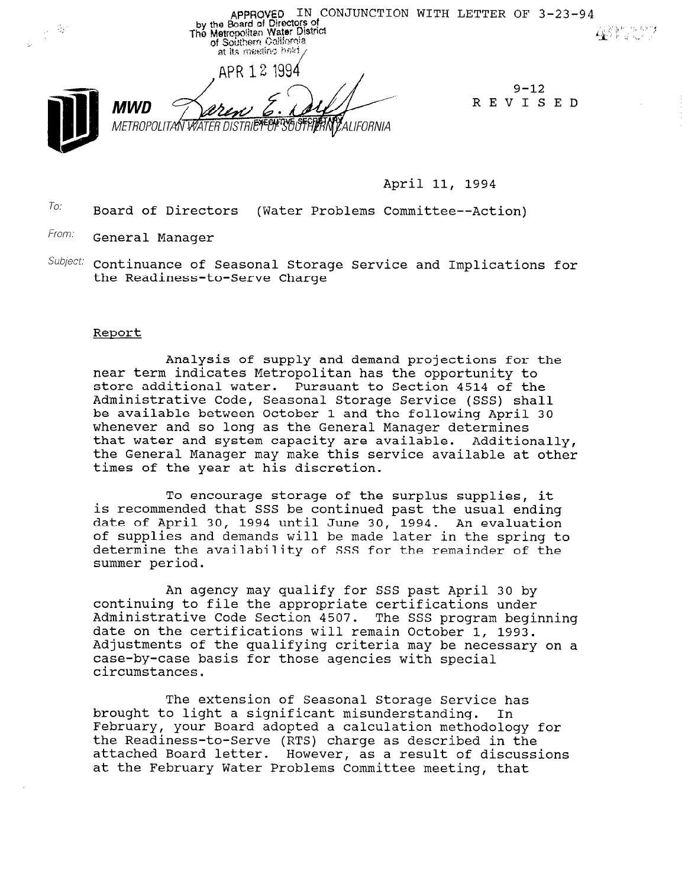APPROVED IN CONJUNCTION WITH LETTER OF  $3-23-94$ <br>The Metropolitan Water District<br>The Metropolitan Water District<br>of Southern Collibrate - 67 4000000 of Southern California at its meeting held APR 12 1994  $9 - 12$ REVISED MWD METROPOLITAN WATER DISTRI**ET BI** SOU **\M**ALIFORNIA

April 11, 1994

To: Board of Directors (Water Problems Committee--Action)

From: General Manager

 $^{Subject:}$  Continuance of Seasonal Storage Service and Implications fo the Readiness-to-Serve Charge

### Report

Analysis of supply and demand projections for the near term indicates Metropolitan has the opportunity to store additional water. Pursuant to Section 4514 of the Administrative Code, Seasonal Storage Service (SSS) shall be available between October 1 and the following April 30 whenever and so long as the General Manager determines that water and system capacity are available. Additionally, the General Manager may make this service available at other times of the year at his discretion.

To encourage storage of the surplus supplies, it is recommended that SSS be continued past the usual ending date of April 30, 1994 until June 30, 1994. An evaluation of supplies and demands will be made later in the spring to determine the availability of SSS for the remainder of the summer period.

An agency may qualify for SSS past April 30 by continuing to file the appropriate certifications under Administrative Code Section 4507. The SSS program beginning date on the certifications will remain October 1, 1993. Adjustments of the qualifying criteria may be necessary on a case-by-case basis for those agencies with special circumstances.

The extension of Seasonal Storage Service has brought to light a significant misunderstanding. In February, your Board adopted a calculation methodology for the Reading (Reading Control of Care as described in the Chouology  $\frac{1}{2}$  at the discussion letter. However, as a result of discussions of  $\frac{1}{2}$ attached Board letter. However, as a result of discussions<br>at the February Water Problems Committee meeting, that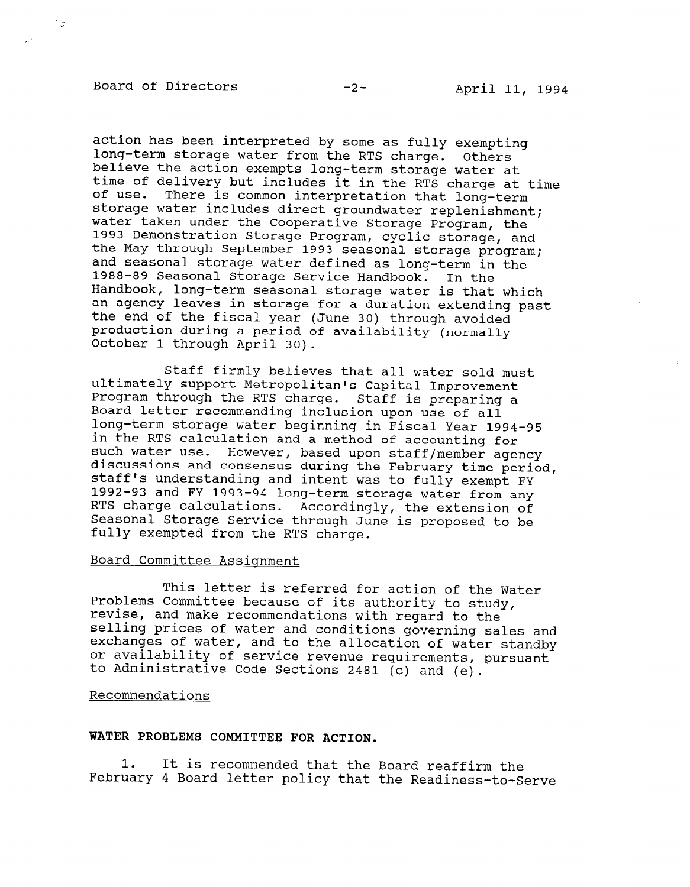# Board of Directors -2- April 11, 1994

action has been interpreted by some as fully exempting long-term storage water from the RTS charge. Others believe the action exempts long-term storage water at time of delivery but includes it in the RTS charge at time of use. There is common interpretation that long-term storage water includes direct groundwater replenishment; water taken under the Cooperative Storage Program, the 1993 Demonstration Storage Program, cyclic storage, and the May through September 1993 seasonal storage program; and seasonal storage water defined as long-term in the 1988-89 Seasonal Storage Service Handbook. In the Handbook, long-term seasonal storage water is that which an agency leaves in storage for a duration extending past the end of the fiscal year (June 30) through avoided production during a period of availability (normally October 1 through April 30).

Staff firmly believes that all water sold must ultimately support Metropolitan's Capital Improvement Program through the RTS charge. Staff is preparing a Board letter recommending inclusion upon use of all long-term storage water beginning in Fiscal Year 1994-95 in the RTS calculation and a method of accounting for such water use. However, based upon staff/member agency discussions and consensus during the February time period, staff's understanding and intent was to fully exempt FY 1992-93 and FY 1993-94 long-term storage water from any RTS charge calculations. Accordingly, the extension of Seasonal Storage Service through June is proposed to be fully exempted from the RTS charge.

# Board Committee Assiqnment

This letter is referred for action of the Water Problems Committee because of its authority to study, revise, and make recommendations with regard to the selling prices of water and conditions governing sales and exchanges of water, and to the allocation of water standby or availability of service revenue requirements, pursuant to Administrative Code Sections 2481 (c) and (e).

## Recommendations

# WATER PROBLEMS COMMITTEE FOR ACTION.

1. It is recommended that the Board reaffirm the February 4 Board letter policy that the Readiness-to-Serve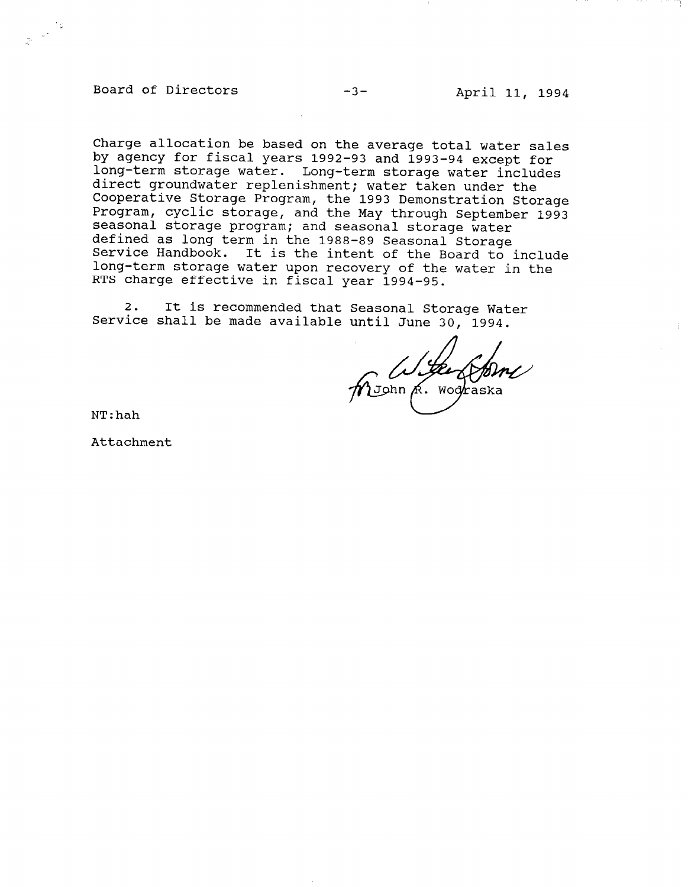Board of Directors -3- April 11, 1994

 $\mathcal{A}^{\frac{1}{2}}$ 

Charge allocation be based on the average total water sales by agency for fiscal years 1992-93 and 1993-94 except for long-term storage water. Long-term storage water includes direct groundwater replenishment; water taken under the Cooperative Storage Program, the 1993 Demonstration Storage Program, cyclic storage, and the May through September 1993 seasonal storage program; and seasonal storage water defined as long term in the 1988-89 Seasonal Storage Service Handbook. It is the intent of the Board to include long-term storage water upon recovery of the water in the RTS charge effective in fiscal year 1994-95.

2. It is recommended that Seasonal Storage Water Service shall be made available until June 30, 1994.

John R. Wood

NT:hah

Attachment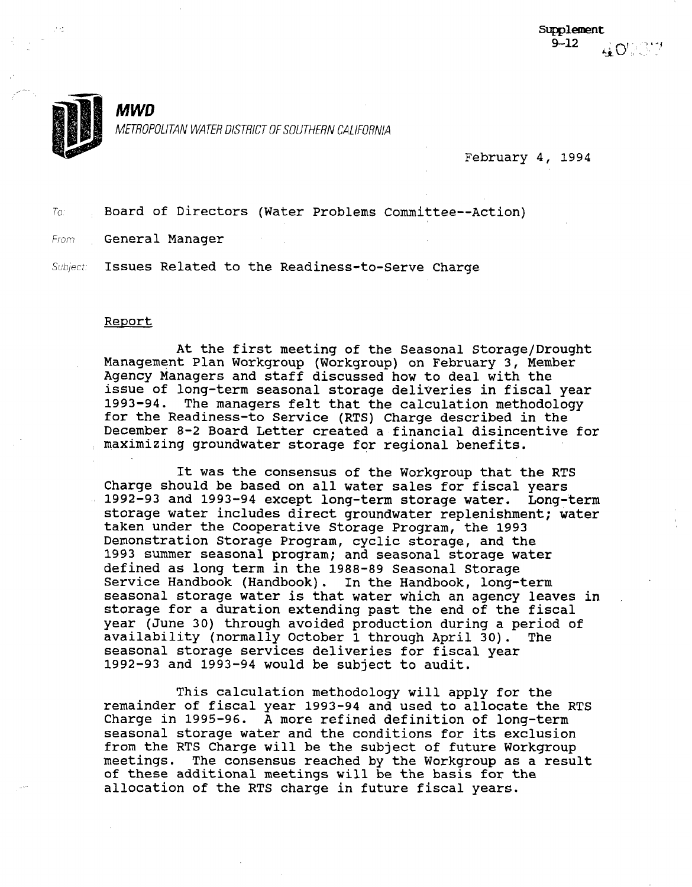

 $\overline{\phantom{a}}$ 

# MWD

METROPOLITAN WATER DISTRICT OF SOUTHERN CALIFORNIA

February 4, 1994

To, Board of Directors (Water Problems Committee--Action)

From General Manager

Subject: Issues Related to the Readiness-to-Serve Charge

#### Report

At the first meeting of the Seasonal Storage/Drought At the IIISt meeting of the Beasonal Buorage/Diong<br>Management Plan Workgroup (Workgroup) on February 3, Member nanagement rian workgroup (workgroup) on rebruary 5, mem Agency Managers and staff discussed how to deal with the issue of long-term seasonal storage deliveries in fiscal year<br>1993-94. The managers felt that the calculation methodology The managers felt that the calculation methodology for the Readiness-to Service (RTS) Charge described in the December 8-2 Board Letter created a financial disincentive for<br>maximizing groundwater storage for regional benefits.

It was the consensus of the Workgroup that the RTS It was the consensus of the workgroup that the R Charge should be based on all water sales for fiscal years 1992-93 and 1993-94 except long-term storage water. Long-term storage water includes direct groundwater replenishment; water taken under the Cooperative Storage Program, the 1993 Demonstration Storage Program, cyclic storage, and the 1993 summer seasonal program; and seasonal storage water defined as long term in the 1988-89 Seasonal Storage Service Handbook (Handbook). In the Handbook, long-term seasonal storage water is that water which an agency leaves in storage for a duration extending past the end of the fiscal year (June 30) through avoided production during a period of availability (normally October 1 through April 30). The seasonal storage services deliveries for fiscal year 1992-93 and 1993-94 would be subject to audit.

This calculation methodology will apply for the remainder of fiscal year 1993-94 and used to allocate the RTS Charge in 1995-96. A more refined definition of long-term seasonal storage water and the conditions for its exclusion from the RTS Charge will be the subject of future Workgroup meetings. The consensus reached by the Workgroup as a result of these additional meetings will be the basis for the allocation of the RTS charge in future fiscal years.